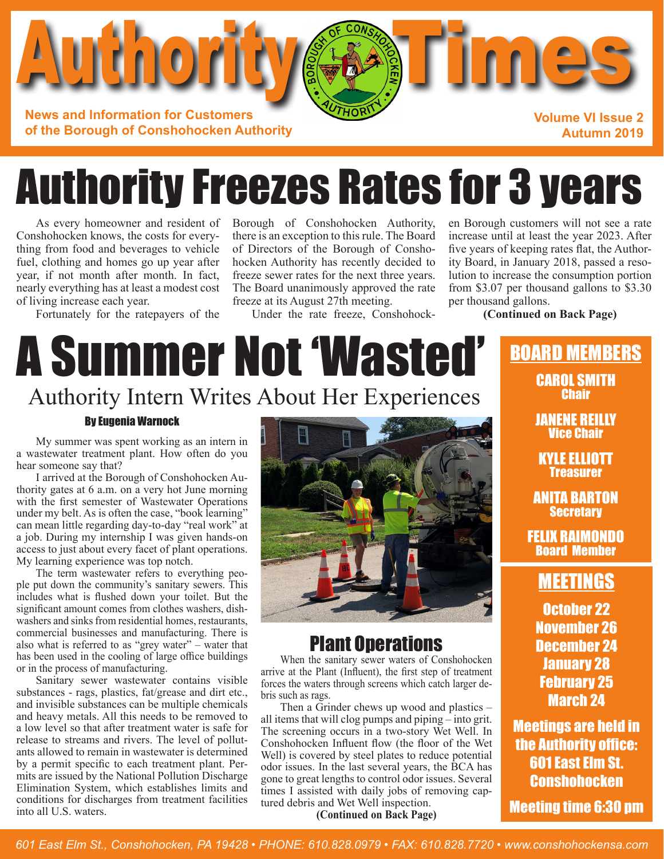

# Authority Freezes Rates for 3 years

As every homeowner and resident of Conshohocken knows, the costs for everything from food and beverages to vehicle fuel, clothing and homes go up year after year, if not month after month. In fact, nearly everything has at least a modest cost of living increase each year.

Fortunately for the ratepayers of the

Borough of Conshohocken Authority, there is an exception to this rule. The Board of Directors of the Borough of Conshohocken Authority has recently decided to freeze sewer rates for the next three years. The Board unanimously approved the rate freeze at its August 27th meeting.

Under the rate freeze, Conshohock-

en Borough customers will not see a rate increase until at least the year 2023. After five years of keeping rates flat, the Authority Board, in January 2018, passed a resolution to increase the consumption portion from \$3.07 per thousand gallons to \$3.30 per thousand gallons.

### **(Continued on Back Page)**

## A Summer Not 'Wasted' Authority Intern Writes About Her Experiences

### By Eugenia Warnock

My summer was spent working as an intern in a wastewater treatment plant. How often do you hear someone say that?

I arrived at the Borough of Conshohocken Authority gates at 6 a.m. on a very hot June morning with the first semester of Wastewater Operations under my belt. As is often the case, "book learning" can mean little regarding day-to-day "real work" at a job. During my internship I was given hands-on access to just about every facet of plant operations. My learning experience was top notch.

The term wastewater refers to everything people put down the community's sanitary sewers. This includes what is flushed down your toilet. But the significant amount comes from clothes washers, dishwashers and sinks from residential homes, restaurants, commercial businesses and manufacturing. There is also what is referred to as "grey water" – water that has been used in the cooling of large office buildings or in the process of manufacturing.

Sanitary sewer wastewater contains visible substances - rags, plastics, fat/grease and dirt etc., and invisible substances can be multiple chemicals and heavy metals. All this needs to be removed to a low level so that after treatment water is safe for release to streams and rivers. The level of pollutants allowed to remain in wastewater is determined by a permit specific to each treatment plant. Permits are issued by the National Pollution Discharge Elimination System, which establishes limits and conditions for discharges from treatment facilities into all U.S. waters.



## Plant Operations

When the sanitary sewer waters of Conshohocken arrive at the Plant (Influent), the first step of treatment forces the waters through screens which catch larger debris such as rags.

Then a Grinder chews up wood and plastics – all items that will clog pumps and piping – into grit. The screening occurs in a two-story Wet Well. In Conshohocken Influent flow (the floor of the Wet Well) is covered by steel plates to reduce potential odor issues. In the last several years, the BCA has gone to great lengths to control odor issues. Several times I assisted with daily jobs of removing captured debris and Wet Well inspection.

### **(Continued on Back Page)**

## BOARD MEMBERS

CAROL SMITH **Chair** 

JANENE REILLY Vice Chair

KYLE ELLIOTT Treasurer

ANITA BARTON **Secretary** 

FELIX RAIMONDO Board Member

## MEETINGS

October 22 November 26 December 24 January 28 February 25 March 24

Meetings are held in the Authority office: 601 East Elm St. **Conshohocken** 

Meeting time 6:30 pm

*601 East Elm St., Conshohocken, PA 19428 • PHONE: 610.828.0979 • FAX: 610.828.7720 • www.conshohockensa.com*